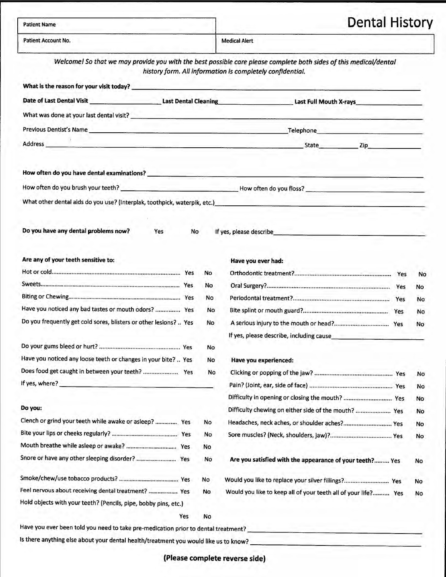| <b>Patient Name</b>                                                                                  |                                                                                                                                                                                |                        | <b>Dental History</b> |  |  |
|------------------------------------------------------------------------------------------------------|--------------------------------------------------------------------------------------------------------------------------------------------------------------------------------|------------------------|-----------------------|--|--|
| <b>Patient Account No.</b>                                                                           | <b>Medical Alert</b>                                                                                                                                                           |                        |                       |  |  |
|                                                                                                      | Welcome! So that we may provide you with the best possible care please complete both sides of this medical/dental<br>history form. All information is completely confidential. |                        |                       |  |  |
| What is the reason for your visit today?                                                             |                                                                                                                                                                                |                        |                       |  |  |
| Date of Last Dental Visit                                                                            | <b>Last Dental Cleaning</b>                                                                                                                                                    | Last Full Mouth X-rays |                       |  |  |
| What was done at your last dental visit?                                                             |                                                                                                                                                                                |                        |                       |  |  |
| <b>Previous Dentist's Name</b>                                                                       |                                                                                                                                                                                | Telephone              |                       |  |  |
|                                                                                                      |                                                                                                                                                                                | <b>State</b>           | Zip                   |  |  |
| Address<br>the control of the control of the control of the control of the control of the control of |                                                                                                                                                                                |                        |                       |  |  |
| How often do you have dental examinations?                                                           |                                                                                                                                                                                |                        |                       |  |  |

#### **Are any of your teeth sensitive to:**

|                                                                   |     | No.       |
|-------------------------------------------------------------------|-----|-----------|
|                                                                   | Yes | No        |
|                                                                   |     | <b>No</b> |
| Have you noticed any bad tastes or mouth odors?  Yes              |     | <b>No</b> |
| Do you frequently get cold sores, blisters or other lesions?  Yes |     | No        |
|                                                                   |     | <b>No</b> |
| Have you noticed any loose teeth or changes in your bite?  Yes    |     | No        |
|                                                                   |     | <b>No</b> |
| If yes, where?                                                    |     |           |

#### **Do you:**

| Clench or grind your teeth while awake or asleep?  Yes          |     | <b>No</b> |
|-----------------------------------------------------------------|-----|-----------|
|                                                                 |     | <b>No</b> |
|                                                                 | Yes | No        |
|                                                                 | Yes | <b>No</b> |
|                                                                 |     | No        |
| Feel nervous about receiving dental treatment?  Yes             |     | No        |
| Hold objects with your teeth? (Pencils, pipe, bobby pins, etc.) |     |           |
|                                                                 | Yes | No        |

### **Have you ever had:**

|                                          | Yes | No        |
|------------------------------------------|-----|-----------|
|                                          | Yes | No        |
|                                          | Yes | No        |
|                                          | Yes | <b>No</b> |
|                                          | Yes | <b>No</b> |
| If yes, please describe, including cause |     |           |

## **Have you experienced:**

|                                                      |     | No        |
|------------------------------------------------------|-----|-----------|
|                                                      |     | No        |
| Difficulty in opening or closing the mouth?          | Yes | <b>No</b> |
| Difficulty chewing on either side of the mouth?  Yes |     | No        |

Headaches, neck aches, or shoulder aches? ............................. Yes Sore muscles? (Neck, shoulders, jaw)? ..................................... Yes **Are you satisfied with the appearance of your teeth? .........** Yes Would you like to replace your silver fillings? ........................... Yes Would you like to keep all of your teeth all of your life?.......... Yes No No No No No

Have you ever been told you need to take pre-medication prior to dental treatment? ----------------------- 1 s there anything else about your dental health/treatment you would like us to know? \_\_\_\_\_\_\_\_\_\_\_\_\_\_\_\_\_\_\_\_ \_

**(Please complete reverse side)**